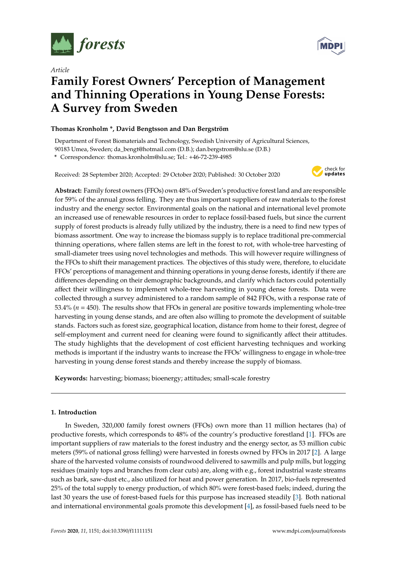

*Article*



# **Family Forest Owners' Perception of Management and Thinning Operations in Young Dense Forests: A Survey from Sweden**

## **Thomas Kronholm \*, David Bengtsson and Dan Bergström**

Department of Forest Biomaterials and Technology, Swedish University of Agricultural Sciences, 90183 Umea, Sweden; da\_bengt@hotmail.com (D.B.); dan.bergstrom@slu.se (D.B.)

**\*** Correspondence: thomas.kronholm@slu.se; Tel.: +46-72-239-4985

Received: 28 September 2020; Accepted: 29 October 2020; Published: 30 October 2020



**Abstract:** Family forest owners (FFOs) own 48% of Sweden's productive forest land and are responsible for 59% of the annual gross felling. They are thus important suppliers of raw materials to the forest industry and the energy sector. Environmental goals on the national and international level promote an increased use of renewable resources in order to replace fossil-based fuels, but since the current supply of forest products is already fully utilized by the industry, there is a need to find new types of biomass assortment. One way to increase the biomass supply is to replace traditional pre-commercial thinning operations, where fallen stems are left in the forest to rot, with whole-tree harvesting of small-diameter trees using novel technologies and methods. This will however require willingness of the FFOs to shift their management practices. The objectives of this study were, therefore, to elucidate FFOs' perceptions of management and thinning operations in young dense forests, identify if there are differences depending on their demographic backgrounds, and clarify which factors could potentially affect their willingness to implement whole-tree harvesting in young dense forests. Data were collected through a survey administered to a random sample of 842 FFOs, with a response rate of 53.4% (*n* = 450). The results show that FFOs in general are positive towards implementing whole-tree harvesting in young dense stands, and are often also willing to promote the development of suitable stands. Factors such as forest size, geographical location, distance from home to their forest, degree of self-employment and current need for cleaning were found to significantly affect their attitudes. The study highlights that the development of cost efficient harvesting techniques and working methods is important if the industry wants to increase the FFOs' willingness to engage in whole-tree harvesting in young dense forest stands and thereby increase the supply of biomass.

**Keywords:** harvesting; biomass; bioenergy; attitudes; small-scale forestry

# **1. Introduction**

In Sweden, 320,000 family forest owners (FFOs) own more than 11 million hectares (ha) of productive forests, which corresponds to 48% of the country's productive forestland [\[1\]](#page-12-0). FFOs are important suppliers of raw materials to the forest industry and the energy sector, as 53 million cubic meters (59% of national gross felling) were harvested in forests owned by FFOs in 2017 [\[2\]](#page-12-1). A large share of the harvested volume consists of roundwood delivered to sawmills and pulp mills, but logging residues (mainly tops and branches from clear cuts) are, along with e.g., forest industrial waste streams such as bark, saw-dust etc., also utilized for heat and power generation. In 2017, bio-fuels represented 25% of the total supply to energy production, of which 80% were forest-based fuels; indeed, during the last 30 years the use of forest-based fuels for this purpose has increased steadily [\[3\]](#page-12-2). Both national and international environmental goals promote this development [\[4\]](#page-13-0), as fossil-based fuels need to be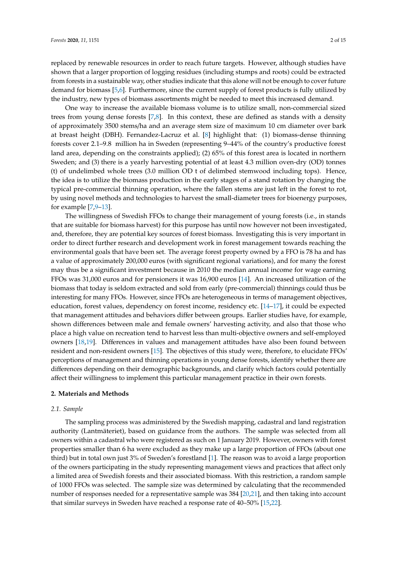replaced by renewable resources in order to reach future targets. However, although studies have shown that a larger proportion of logging residues (including stumps and roots) could be extracted from forests in a sustainable way, other studies indicate that this alone will not be enough to cover future demand for biomass [\[5](#page-13-1)[,6\]](#page-13-2). Furthermore, since the current supply of forest products is fully utilized by the industry, new types of biomass assortments might be needed to meet this increased demand.

One way to increase the available biomass volume is to utilize small, non-commercial sized trees from young dense forests [\[7,](#page-13-3)[8\]](#page-13-4). In this context, these are defined as stands with a density of approximately 3500 stems/ha and an average stem size of maximum 10 cm diameter over bark at breast height (DBH). Fernandez-Lacruz et al. [\[8\]](#page-13-4) highlight that: (1) biomass-dense thinning forests cover 2.1–9.8 million ha in Sweden (representing 9–44% of the country's productive forest land area, depending on the constraints applied); (2) 65% of this forest area is located in northern Sweden; and (3) there is a yearly harvesting potential of at least 4.3 million oven-dry (OD) tonnes (t) of undelimbed whole trees (3.0 million OD t of delimbed stemwood including tops). Hence, the idea is to utilize the biomass production in the early stages of a stand rotation by changing the typical pre-commercial thinning operation, where the fallen stems are just left in the forest to rot, by using novel methods and technologies to harvest the small-diameter trees for bioenergy purposes, for example [\[7](#page-13-3)[,9](#page-13-5)[–13\]](#page-13-6).

The willingness of Swedish FFOs to change their management of young forests (i.e., in stands that are suitable for biomass harvest) for this purpose has until now however not been investigated, and, therefore, they are potential key sources of forest biomass. Investigating this is very important in order to direct further research and development work in forest management towards reaching the environmental goals that have been set. The average forest property owned by a FFO is 78 ha and has a value of approximately 200,000 euros (with significant regional variations), and for many the forest may thus be a significant investment because in 2010 the median annual income for wage earning FFOs was 31,000 euros and for pensioners it was 16,900 euros [\[14\]](#page-13-7). An increased utilization of the biomass that today is seldom extracted and sold from early (pre-commercial) thinnings could thus be interesting for many FFOs. However, since FFOs are heterogeneous in terms of management objectives, education, forest values, dependency on forest income, residency etc. [\[14–](#page-13-7)[17\]](#page-13-8), it could be expected that management attitudes and behaviors differ between groups. Earlier studies have, for example, shown differences between male and female owners' harvesting activity, and also that those who place a high value on recreation tend to harvest less than multi-objective owners and self-employed owners [\[18,](#page-13-9)[19\]](#page-13-10). Differences in values and management attitudes have also been found between resident and non-resident owners [\[15\]](#page-13-11). The objectives of this study were, therefore, to elucidate FFOs' perceptions of management and thinning operations in young dense forests, identify whether there are differences depending on their demographic backgrounds, and clarify which factors could potentially affect their willingness to implement this particular management practice in their own forests.

#### **2. Materials and Methods**

#### *2.1. Sample*

The sampling process was administered by the Swedish mapping, cadastral and land registration authority (Lantmäteriet), based on guidance from the authors. The sample was selected from all owners within a cadastral who were registered as such on 1 January 2019. However, owners with forest properties smaller than 6 ha were excluded as they make up a large proportion of FFOs (about one third) but in total own just 3% of Sweden's forestland [\[1\]](#page-12-0). The reason was to avoid a large proportion of the owners participating in the study representing management views and practices that affect only a limited area of Swedish forests and their associated biomass. With this restriction, a random sample of 1000 FFOs was selected. The sample size was determined by calculating that the recommended number of responses needed for a representative sample was 384 [\[20](#page-13-12)[,21\]](#page-13-13), and then taking into account that similar surveys in Sweden have reached a response rate of 40–50% [\[15](#page-13-11)[,22\]](#page-13-14).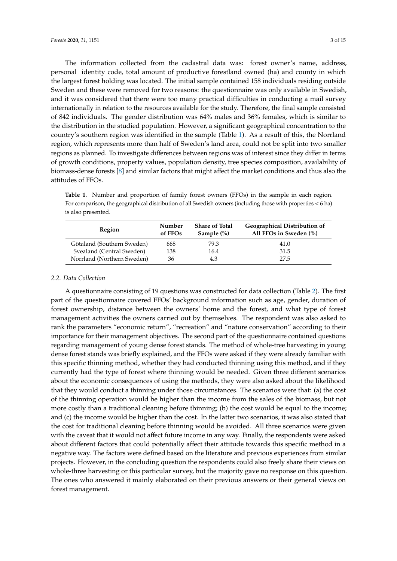The information collected from the cadastral data was: forest owner's name, address, personal identity code, total amount of productive forestland owned (ha) and county in which the largest forest holding was located. The initial sample contained 158 individuals residing outside Sweden and these were removed for two reasons: the questionnaire was only available in Swedish, and it was considered that there were too many practical difficulties in conducting a mail survey internationally in relation to the resources available for the study. Therefore, the final sample consisted of 842 individuals. The gender distribution was 64% males and 36% females, which is similar to the distribution in the studied population. However, a significant geographical concentration to the country's southern region was identified in the sample (Table [1\)](#page-2-0). As a result of this, the Norrland region, which represents more than half of Sweden's land area, could not be split into two smaller regions as planned. To investigate differences between regions was of interest since they differ in terms of growth conditions, property values, population density, tree species composition, availability of biomass-dense forests [\[8\]](#page-13-4) and similar factors that might affect the market conditions and thus also the

**Table 1.** Number and proportion of family forest owners (FFOs) in the sample in each region. For comparison, the geographical distribution of all Swedish owners (including those with properties < 6 ha) is also presented.

| Region                     | Number<br>of FFOs | <b>Share of Total</b><br>Sample (%) | <b>Geographical Distribution of</b><br>All FFOs in Sweden (%) |
|----------------------------|-------------------|-------------------------------------|---------------------------------------------------------------|
| Götaland (Southern Sweden) | 668               | 79.3                                | 41.0                                                          |
| Svealand (Central Sweden)  | 138               | 16.4                                | 31.5                                                          |
| Norrland (Northern Sweden) | 36                | 4.3                                 | 27.5                                                          |

#### <span id="page-2-1"></span>*2.2. Data Collection*

<span id="page-2-0"></span>attitudes of FFOs.

A questionnaire consisting of 19 questions was constructed for data collection (Table [2\)](#page-3-0). The first part of the questionnaire covered FFOs' background information such as age, gender, duration of forest ownership, distance between the owners' home and the forest, and what type of forest management activities the owners carried out by themselves. The respondent was also asked to rank the parameters "economic return", "recreation" and "nature conservation" according to their importance for their management objectives. The second part of the questionnaire contained questions regarding management of young dense forest stands. The method of whole-tree harvesting in young dense forest stands was briefly explained, and the FFOs were asked if they were already familiar with this specific thinning method, whether they had conducted thinning using this method, and if they currently had the type of forest where thinning would be needed. Given three different scenarios about the economic consequences of using the methods, they were also asked about the likelihood that they would conduct a thinning under those circumstances. The scenarios were that: (a) the cost of the thinning operation would be higher than the income from the sales of the biomass, but not more costly than a traditional cleaning before thinning; (b) the cost would be equal to the income; and (c) the income would be higher than the cost. In the latter two scenarios, it was also stated that the cost for traditional cleaning before thinning would be avoided. All three scenarios were given with the caveat that it would not affect future income in any way. Finally, the respondents were asked about different factors that could potentially affect their attitude towards this specific method in a negative way. The factors were defined based on the literature and previous experiences from similar projects. However, in the concluding question the respondents could also freely share their views on whole-three harvesting or this particular survey, but the majority gave no response on this question. The ones who answered it mainly elaborated on their previous answers or their general views on forest management.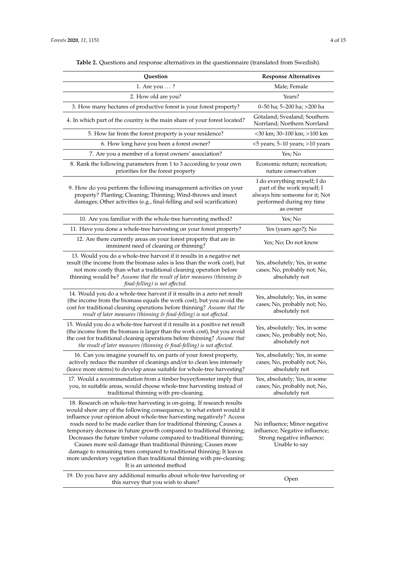<span id="page-3-0"></span>

| Question                                                                                                                                                                                                                                                                                                                                                                                                                                                                                                                                                                                                                                                                                                                                                                     | <b>Response Alternatives</b>                                                                                                          |
|------------------------------------------------------------------------------------------------------------------------------------------------------------------------------------------------------------------------------------------------------------------------------------------------------------------------------------------------------------------------------------------------------------------------------------------------------------------------------------------------------------------------------------------------------------------------------------------------------------------------------------------------------------------------------------------------------------------------------------------------------------------------------|---------------------------------------------------------------------------------------------------------------------------------------|
| 1. Are you ?                                                                                                                                                                                                                                                                                                                                                                                                                                                                                                                                                                                                                                                                                                                                                                 | Male; Female                                                                                                                          |
| 2. How old are you?                                                                                                                                                                                                                                                                                                                                                                                                                                                                                                                                                                                                                                                                                                                                                          | Years?                                                                                                                                |
| 3. How many hectares of productive forest is your forest property?                                                                                                                                                                                                                                                                                                                                                                                                                                                                                                                                                                                                                                                                                                           | 0–50 ha; 5–200 ha; >200 ha                                                                                                            |
| 4. In which part of the country is the main share of your forest located?                                                                                                                                                                                                                                                                                                                                                                                                                                                                                                                                                                                                                                                                                                    | Götaland; Svealand; Southern<br>Norrland; Northern Norrland                                                                           |
| 5. How far from the forest property is your residence?                                                                                                                                                                                                                                                                                                                                                                                                                                                                                                                                                                                                                                                                                                                       | <30 km; 30-100 km; >100 km                                                                                                            |
| 6. How long have you been a forest owner?                                                                                                                                                                                                                                                                                                                                                                                                                                                                                                                                                                                                                                                                                                                                    | <5 years; 5-10 years; >10 years                                                                                                       |
| 7. Are you a member of a forest owners' association?                                                                                                                                                                                                                                                                                                                                                                                                                                                                                                                                                                                                                                                                                                                         | Yes; No                                                                                                                               |
| 8. Rank the following parameters from 1 to 3 according to your own<br>priorities for the forest property                                                                                                                                                                                                                                                                                                                                                                                                                                                                                                                                                                                                                                                                     | Economic return; recreation;<br>nature conservation                                                                                   |
| 9. How do you perform the following management activities on your<br>property? Planting; Cleaning; Thinning; Wind-throws and insect<br>damages; Other activities (e.g., final-felling and soil scarification)                                                                                                                                                                                                                                                                                                                                                                                                                                                                                                                                                                | I do everything myself; I do<br>part of the work myself; I<br>always hire someone for it; Not<br>performed during my time<br>as owner |
| 10. Are you familiar with the whole-tree harvesting method?                                                                                                                                                                                                                                                                                                                                                                                                                                                                                                                                                                                                                                                                                                                  | Yes; No                                                                                                                               |
| 11. Have you done a whole-tree harvesting on your forest property?                                                                                                                                                                                                                                                                                                                                                                                                                                                                                                                                                                                                                                                                                                           | Yes (years ago?); No                                                                                                                  |
| 12. Are there currently areas on your forest property that are in<br>imminent need of cleaning or thinning?                                                                                                                                                                                                                                                                                                                                                                                                                                                                                                                                                                                                                                                                  | Yes; No; Do not know                                                                                                                  |
| 13. Would you do a whole-tree harvest if it results in a negative net<br>result (the income from the biomass sales is less than the work cost), but<br>not more costly than what a traditional cleaning operation before<br>thinning would be? Assume that the result of later measures (thinning $\varepsilon$<br>final-felling) is not affected.                                                                                                                                                                                                                                                                                                                                                                                                                           | Yes, absolutely; Yes, in some<br>cases; No, probably not; No,<br>absolutely not                                                       |
| 14. Would you do a whole-tree harvest if it results in a zero net result<br>(the income from the biomass equals the work cost), but you avoid the<br>cost for traditional cleaning operations before thinning? Assume that the<br>result of later measures (thinning & final-felling) is not affected.                                                                                                                                                                                                                                                                                                                                                                                                                                                                       | Yes, absolutely; Yes, in some<br>cases; No, probably not; No,<br>absolutely not                                                       |
| 15. Would you do a whole-tree harvest if it results in a positive net result<br>(the income from the biomass is larger than the work cost), but you avoid<br>the cost for traditional cleaning operations before thinning? Assume that<br>the result of later measures (thinning $\varepsilon$ final-felling) is not affected.                                                                                                                                                                                                                                                                                                                                                                                                                                               | Yes, absolutely; Yes, in some<br>cases; No, probably not; No,<br>absolutely not                                                       |
| 16. Can you imagine yourself to, on parts of your forest property,<br>actively reduce the number of cleanings and/or to clean less intensely<br>(leave more stems) to develop areas suitable for whole-tree harvesting?                                                                                                                                                                                                                                                                                                                                                                                                                                                                                                                                                      | Yes, absolutely; Yes, in some<br>cases; No, probably not; No,<br>absolutely not                                                       |
| 17. Would a recommendation from a timber buyer/forester imply that<br>you, in suitable areas, would choose whole-tree harvesting instead of<br>traditional thinning with pre-cleaning.                                                                                                                                                                                                                                                                                                                                                                                                                                                                                                                                                                                       | Yes, absolutely; Yes, in some<br>cases; No, probably not; No,<br>absolutely not                                                       |
| 18. Research on whole-tree harvesting is on-going. If research results<br>would show any of the following consequence, to what extent would it<br>influence your opinion about whole-tree harvesting negatively? Access<br>roads need to be made earlier than for traditional thinning; Causes a<br>temporary decrease in future growth compared to traditional thinning;<br>Decreases the future timber volume compared to traditional thinning;<br>Causes more soil damage than traditional thinning; Causes more<br>damage to remaining trees compared to traditional thinning; It leaves<br>more understory vegetation than traditional thinning with pre-cleaning;<br>It is an untested method<br>19. Do you have any additional remarks about whole-tree harvesting or | No influence; Minor negative<br>influence; Negative influence;<br>Strong negative influence;<br>Unable to say                         |
| this survey that you wish to share?                                                                                                                                                                                                                                                                                                                                                                                                                                                                                                                                                                                                                                                                                                                                          | Open                                                                                                                                  |

**Table 2.** Questions and response alternatives in the questionnaire (translated from Swedish).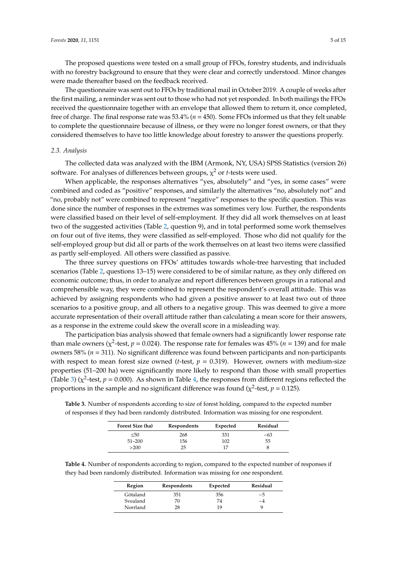The proposed questions were tested on a small group of FFOs, forestry students, and individuals with no forestry background to ensure that they were clear and correctly understood. Minor changes were made thereafter based on the feedback received.

The questionnaire was sent out to FFOs by traditional mail in October 2019. A couple of weeks after the first mailing, a reminder was sent out to those who had not yet responded. In both mailings the FFOs received the questionnaire together with an envelope that allowed them to return it, once completed, free of charge. The final response rate was 53.4% (*n* = 450). Some FFOs informed us that they felt unable to complete the questionnaire because of illness, or they were no longer forest owners, or that they considered themselves to have too little knowledge about forestry to answer the questions properly.

#### *2.3. Analysis*

The collected data was analyzed with the IBM (Armonk, NY, USA) SPSS Statistics (version 26) software. For analyses of differences between groups, χ <sup>2</sup> or *t*-tests were used.

When applicable, the responses alternatives "yes, absolutely" and "yes, in some cases" were combined and coded as "positive" responses, and similarly the alternatives "no, absolutely not" and "no, probably not" were combined to represent "negative" responses to the specific question. This was done since the number of responses in the extremes was sometimes very low. Further, the respondents were classified based on their level of self-employment. If they did all work themselves on at least two of the suggested activities (Table [2,](#page-3-0) question 9), and in total performed some work themselves on four out of five items, they were classified as self-employed. Those who did not qualify for the self-employed group but did all or parts of the work themselves on at least two items were classified as partly self-employed. All others were classified as passive.

The three survey questions on FFOs' attitudes towards whole-tree harvesting that included scenarios (Table [2,](#page-3-0) questions 13–15) were considered to be of similar nature, as they only differed on economic outcome; thus, in order to analyze and report differences between groups in a rational and comprehensible way, they were combined to represent the respondent's overall attitude. This was achieved by assigning respondents who had given a positive answer to at least two out of three scenarios to a positive group, and all others to a negative group. This was deemed to give a more accurate representation of their overall attitude rather than calculating a mean score for their answers, as a response in the extreme could skew the overall score in a misleading way.

The participation bias analysis showed that female owners had a significantly lower response rate than male owners ( $\chi^2$ -test,  $p = 0.024$ ). The response rate for females was 45% ( $n = 139$ ) and for male owners 58% (*n* = 311). No significant difference was found between participants and non-participants with respect to mean forest size owned ( $t$ -test,  $p = 0.319$ ). However, owners with medium-size properties (51–200 ha) were significantly more likely to respond than those with small properties (Table [3\)](#page-4-0) ( $\chi^2$ -test,  $p = 0.000$ ). As shown in Table [4,](#page-4-1) the responses from different regions reflected the proportions in the sample and no significant difference was found ( $\chi^2$ -test,  $p = 0.125$ ).

<span id="page-4-0"></span>**Table 3.** Number of respondents according to size of forest holding, compared to the expected number of responses if they had been randomly distributed. Information was missing for one respondent.

| Forest Size (ha) | Respondents | Expected | Residual |
|------------------|-------------|----------|----------|
| $50$             | 268         | 331      | -63      |
| $51 - 200$       | 156         | 102      | 55       |
| >200             | 25          |          | 8        |

<span id="page-4-1"></span>**Table 4.** Number of respondents according to region, compared to the expected number of responses if they had been randomly distributed. Information was missing for one respondent.

| Region   | Respondents | Expected | Residual |
|----------|-------------|----------|----------|
| Götaland | 351         | 356      | $-5$     |
| Svealand | 70          | 74       |          |
| Norrland | 28          | 19       | q        |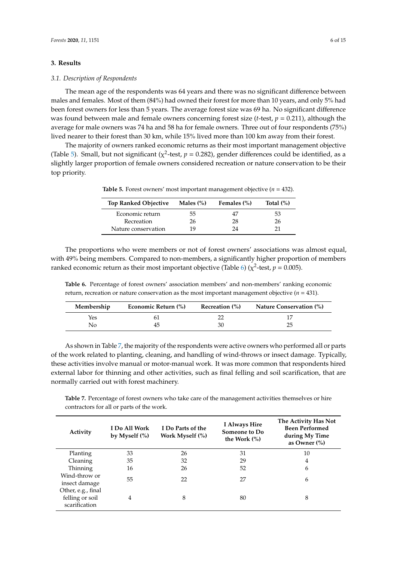#### **3. Results**

#### *3.1. Description of Respondents*

The mean age of the respondents was 64 years and there was no significant difference between males and females. Most of them (84%) had owned their forest for more than 10 years, and only 5% had been forest owners for less than 5 years. The average forest size was 69 ha. No significant difference was found between male and female owners concerning forest size (*t*-test, *p* = 0.211), although the average for male owners was 74 ha and 58 ha for female owners. Three out of four respondents (75%) lived nearer to their forest than 30 km, while 15% lived more than 100 km away from their forest.

<span id="page-5-0"></span>The majority of owners ranked economic returns as their most important management objective (Table [5\)](#page-5-0). Small, but not significant ( $\chi^2$ -test,  $p = 0.282$ ), gender differences could be identified, as a slightly larger proportion of female owners considered recreation or nature conservation to be their top priority.

**Table 5.** Forest owners' most important management objective (*n* = 432).

| <b>Top Ranked Objective</b> | Males $(\% )$ | Females $(\%)$ | Total $(\% )$ |
|-----------------------------|---------------|----------------|---------------|
| Economic return             | 55            | 47             | 53            |
| Recreation                  | 26            | 28             | 26            |
| Nature conservation         | 19            | 24             |               |

The proportions who were members or not of forest owners' associations was almost equal, with 49% being members. Compared to non-members, a significantly higher proportion of members ranked economic return as their most important objective (Table [6\)](#page-5-1) ( $\chi^2$ -test,  $p = 0.005$ ).

<span id="page-5-1"></span>Table 6. Percentage of forest owners' association members' and non-members' ranking economic return, recreation or nature conservation as the most important management objective (*n* = 431).

| Membership | Economic Return (%) | Recreation $(\%)$ | <b>Nature Conservation (%)</b> |
|------------|---------------------|-------------------|--------------------------------|
| Yes        |                     |                   |                                |
| Nο         | 45                  | 30                |                                |

As shown in Table [7,](#page-5-2) the majority of the respondents were active owners who performed all or parts of the work related to planting, cleaning, and handling of wind-throws or insect damage. Typically, these activities involve manual or motor-manual work. It was more common that respondents hired external labor for thinning and other activities, such as final felling and soil scarification, that are normally carried out with forest machinery.

<span id="page-5-2"></span>**Table 7.** Percentage of forest owners who take care of the management activities themselves or hire contractors for all or parts of the work.

| Activity                                               | I Do All Work<br>by Myself $(\% )$ | I Do Parts of the<br>Work Myself (%) | I Always Hire<br>Someone to Do<br>the Work $(\%)$ | The Activity Has Not<br><b>Been Performed</b><br>during My Time<br>as Owner $(\% )$ |
|--------------------------------------------------------|------------------------------------|--------------------------------------|---------------------------------------------------|-------------------------------------------------------------------------------------|
| Planting                                               | 33                                 | 26                                   | 31                                                | 10                                                                                  |
| Cleaning                                               | 35                                 | 32                                   | 29                                                | 4                                                                                   |
| <b>Thinning</b>                                        | 16                                 | 26                                   | 52                                                | 6                                                                                   |
| Wind-throw or<br>insect damage                         | 55                                 | 22                                   | 27                                                | 6                                                                                   |
| Other, e.g., final<br>felling or soil<br>scarification | 4                                  | 8                                    | 80                                                | 8                                                                                   |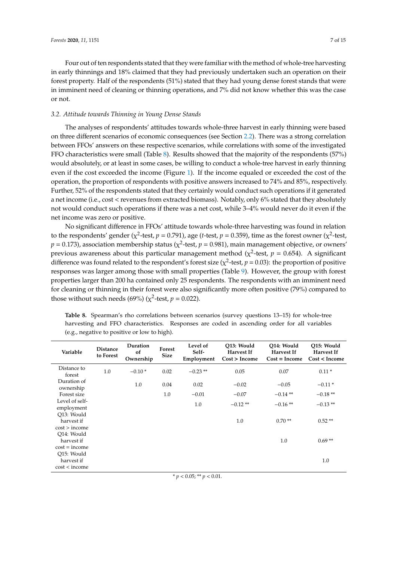Four out of ten respondents stated that they were familiar with the method of whole-tree harvesting in early thinnings and 18% claimed that they had previously undertaken such an operation on their forest property. Half of the respondents (51%) stated that they had young dense forest stands that were in imminent need of cleaning or thinning operations, and 7% did not know whether this was the case or not.

#### *3.2. Attitude towards Thinning in Young Dense Stands*

The analyses of respondents' attitudes towards whole-three harvest in early thinning were based on three different scenarios of economic consequences (see Section [2.2\)](#page-2-1). There was a strong correlation between FFOs' answers on these respective scenarios, while correlations with some of the investigated FFO characteristics were small (Table [8\)](#page-6-0). Results showed that the majority of the respondents (57%) would absolutely, or at least in some cases, be willing to conduct a whole-tree harvest in early thinning even if the cost exceeded the income (Figure [1\)](#page-7-0). If the income equaled or exceeded the cost of the operation, the proportion of respondents with positive answers increased to 74% and 85%, respectively. Further, 52% of the respondents stated that they certainly would conduct such operations if it generated a net income (i.e., cost < revenues from extracted biomass). Notably, only 6% stated that they absolutely not would conduct such operations if there was a net cost, while 3–4% would never do it even if the net income was zero or positive.

No significant difference in FFOs' attitude towards whole-three harvesting was found in relation to the respondents' gender ( $\chi^2$ -test,  $p = 0.791$ ), age (*t*-test,  $p = 0.359$ ), time as the forest owner ( $\chi^2$ -test,  $p = 0.173$ ), association membership status ( $\chi^2$ -test,  $p = 0.981$ ), main management objective, or owners' previous awareness about this particular management method ( $\chi^2$ -test,  $p = 0.654$ ). A significant difference was found related to the respondent's forest size ( $\chi^2$ -test,  $p = 0.03$ ): the proportion of positive responses was larger among those with small properties (Table [9\)](#page-7-1). However, the group with forest properties larger than 200 ha contained only 25 respondents. The respondents with an imminent need for cleaning or thinning in their forest were also significantly more often positive (79%) compared to those without such needs (69%) ( $\chi^2$ -test,  $p = 0.022$ ).

| <b>Distance</b><br>to Forest | Duration<br>of<br>Ownership | Forest<br><b>Size</b> | Level of<br>Self-<br>Employment | O13: Would<br><b>Harvest If</b><br>$Cost$ > Income | O14: Would<br><b>Harvest If</b><br>$Cost = Income$ | O15: Would<br><b>Harvest If</b><br>Cost < Income |
|------------------------------|-----------------------------|-----------------------|---------------------------------|----------------------------------------------------|----------------------------------------------------|--------------------------------------------------|
| 1.0                          | $-0.10*$                    | 0.02                  | $-0.23$ **                      | 0.05                                               | 0.07                                               | $0.11*$                                          |
|                              | 1.0                         | 0.04                  | 0.02                            | $-0.02$                                            | $-0.05$                                            | $-0.11*$                                         |
|                              |                             | 1.0                   | $-0.01$                         | $-0.07$                                            | $-0.14**$                                          | $-0.18**$                                        |
|                              |                             |                       | 1.0                             | $-0.12**$                                          | $-0.16**$                                          | $-0.13**$                                        |
|                              |                             |                       |                                 | 1.0                                                | $0.70**$                                           | $0.52**$                                         |
|                              |                             |                       |                                 |                                                    | 1.0                                                | $0.69**$                                         |
|                              |                             |                       |                                 |                                                    |                                                    |                                                  |
|                              |                             |                       |                                 |                                                    |                                                    | 1.0                                              |
|                              |                             |                       |                                 |                                                    |                                                    |                                                  |

<span id="page-6-0"></span>**Table 8.** Spearman's rho correlations between scenarios (survey questions 13–15) for whole-tree harvesting and FFO characteristics. Responses are coded in ascending order for all variables (e.g., negative to positive or low to high).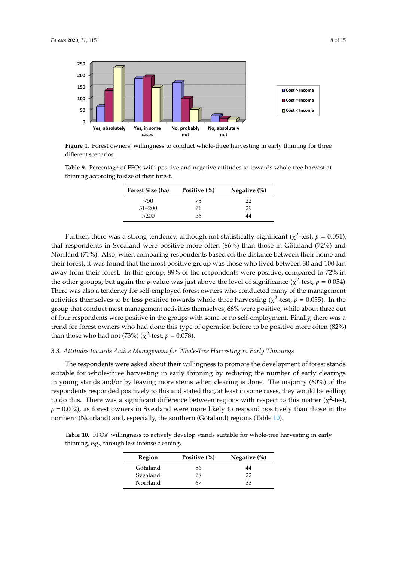<span id="page-7-0"></span>

**Figure 1. Figure 1. Forest** outputs to conduct with the seconduct will be a second three harvesting for the seconduct with  $\frac{1}{n}$ Figure 1. Forest owners' willingness to conduct whole-three harvesting in early thinning for three different scenarios.

<span id="page-7-1"></span>Table 9. Percentage of FFOs with positive and negative attitudes to towards whole-tree harvest at thinning according to size of their forest.

| Forest Size (ha) | Positive (%) | Negative $(\% )$ |
|------------------|--------------|------------------|
| < 50             | 78           | フフ               |
| $51 - 200$       | 71           | 29               |
| >200             | 56           | 44               |

Further, there was a strong tendency, although not statistically significant ( $\chi^2$ -test,  $p = 0.051$ ), that respondents in Svealand were positive more often (86%) than those in Götaland (72%) and Norrland (71%). Also, when comparing respondents based on the distance between their home and their forest, it was found that the most positive group was those who lived between 30 and 100 km away from their forest. In this group, 89% of the respondents were positive, compared to 72% in the other groups, but again the *p*-value was just above the level of significance ( $\chi^2$ -test,  $p = 0.054$ ). There was also a tendency for self-employed forest owners who conducted many of the management activities themselves to be less positive towards whole-three harvesting ( $\chi^2$ -test,  $p = 0.055$ ). In the group that conduct most management activities themselves, 66% were positive, while about three out of four respondents were positive in the groups with some or no self-employment. Finally, there was a trend for forest owners who had done this type of operation before to be positive more often (82%) than those who had not (73%) ( $\chi^2$ -test,  $p = 0.078$ ).

#### *3.3. Attitudes towards Active Management for Whole-Tree Harvesting in Early Thinnings*

The respondents were asked about their willingness to promote the development of forest stands suitable for whole-three harvesting in early thinning by reducing the number of early clearings in young stands and/or by leaving more stems when clearing is done. The majority (60%) of the respondents responded positively to this and stated that, at least in some cases, they would be willing to do this. There was a significant difference between regions with respect to this matter ( $\chi^2$ -test,  $p = 0.002$ ), as forest owners in Svealand were more likely to respond positively than those in the northern (Norrland) and, especially, the southern (Götaland) regions (Table [10\)](#page-7-2).

<span id="page-7-2"></span>**Table 10.** FFOs' willingness to actively develop stands suitable for whole-tree harvesting in early thinning, e.g., through less intense cleaning.

| Region   | Positive (%) | Negative $(\% )$ |
|----------|--------------|------------------|
| Götaland | 56           | 44               |
| Svealand | 78           | つつ               |
| Norrland | 67           | 33               |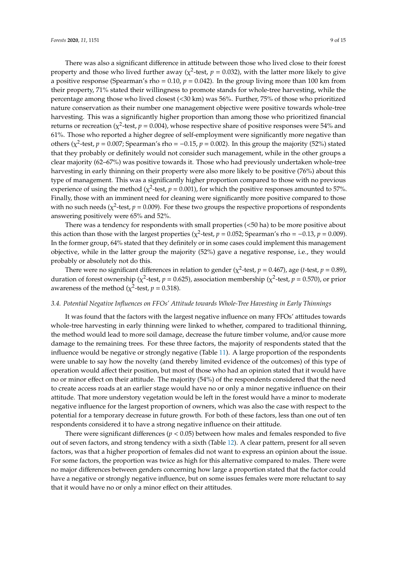There was also a significant difference in attitude between those who lived close to their forest property and those who lived further away ( $\chi^2$ -test,  $p = 0.032$ ), with the latter more likely to give a positive response (Spearman's rho =  $0.10$ ,  $p = 0.042$ ). In the group living more than 100 km from their property, 71% stated their willingness to promote stands for whole-tree harvesting, while the percentage among those who lived closest (<30 km) was 56%. Further, 75% of those who prioritized nature conservation as their number one management objective were positive towards whole-tree harvesting. This was a significantly higher proportion than among those who prioritized financial returns or recreation ( $\chi^2$ -test,  $p = 0.004$ ), whose respective share of positive responses were 54% and 61%. Those who reported a higher degree of self-employment were significantly more negative than others ( $\chi^2$ -test,  $p = 0.007$ ; Spearman's rho = -0.15,  $p = 0.002$ ). In this group the majority (52%) stated that they probably or definitely would not consider such management, while in the other groups a clear majority (62–67%) was positive towards it. Those who had previously undertaken whole-tree harvesting in early thinning on their property were also more likely to be positive (76%) about this type of management. This was a significantly higher proportion compared to those with no previous experience of using the method ( $\chi^2$ -test,  $p = 0.001$ ), for which the positive responses amounted to 57%. Finally, those with an imminent need for cleaning were significantly more positive compared to those with no such needs ( $\chi^2$ -test,  $p = 0.009$ ). For these two groups the respective proportions of respondents answering positively were 65% and 52%.

There was a tendency for respondents with small properties (<50 ha) to be more positive about this action than those with the largest properties ( $\chi^2$ -test,  $p = 0.052$ ; Spearman's rho = -0.13,  $p = 0.009$ ). In the former group, 64% stated that they definitely or in some cases could implement this management objective, while in the latter group the majority (52%) gave a negative response, i.e., they would probably or absolutely not do this.

There were no significant differences in relation to gender ( $\chi^2$ -test,  $p = 0.467$ ), age (*t*-test,  $p = 0.89$ ), duration of forest ownership ( $\chi^2$ -test,  $p = 0.625$ ), association membership ( $\chi^2$ -test,  $p = 0.570$ ), or prior awareness of the method ( $\chi^2$ -test,  $p = 0.318$ ).

### *3.4. Potential Negative Influences on FFOs' Attitude towards Whole-Tree Havesting in Early Thinnings*

It was found that the factors with the largest negative influence on many FFOs' attitudes towards whole-tree harvesting in early thinning were linked to whether, compared to traditional thinning, the method would lead to more soil damage, decrease the future timber volume, and/or cause more damage to the remaining trees. For these three factors, the majority of respondents stated that the influence would be negative or strongly negative (Table [11\)](#page-9-0). A large proportion of the respondents were unable to say how the novelty (and thereby limited evidence of the outcomes) of this type of operation would affect their position, but most of those who had an opinion stated that it would have no or minor effect on their attitude. The majority (54%) of the respondents considered that the need to create access roads at an earlier stage would have no or only a minor negative influence on their attitude. That more understory vegetation would be left in the forest would have a minor to moderate negative influence for the largest proportion of owners, which was also the case with respect to the potential for a temporary decrease in future growth. For both of these factors, less than one out of ten respondents considered it to have a strong negative influence on their attitude.

There were significant differences ( $p < 0.05$ ) between how males and females responded to five out of seven factors, and strong tendency with a sixth (Table [12\)](#page-9-1). A clear pattern, present for all seven factors, was that a higher proportion of females did not want to express an opinion about the issue. For some factors, the proportion was twice as high for this alternative compared to males. There were no major differences between genders concerning how large a proportion stated that the factor could have a negative or strongly negative influence, but on some issues females were more reluctant to say that it would have no or only a minor effect on their attitudes.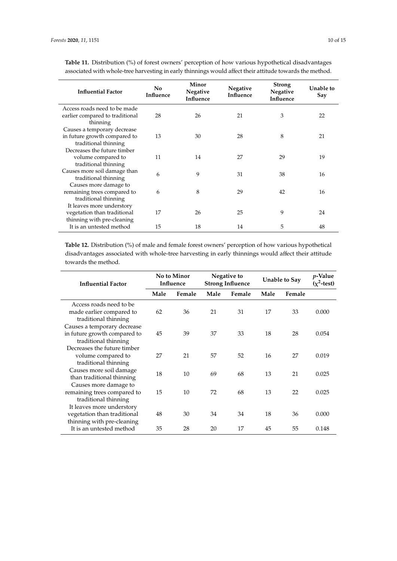| <b>Influential Factor</b>                                                              | No.<br><b>Influence</b> | Minor<br><b>Negative</b><br>Influence | Negative<br>Influence | <b>Strong</b><br>Negative<br>Influence | Unable to<br>Say |
|----------------------------------------------------------------------------------------|-------------------------|---------------------------------------|-----------------------|----------------------------------------|------------------|
| Access roads need to be made<br>earlier compared to traditional<br>thinning            | 28                      | 26                                    | 21                    | 3                                      | 22               |
| Causes a temporary decrease<br>in future growth compared to<br>traditional thinning    | 13                      | 30                                    | 28                    | 8                                      | 21               |
| Decreases the future timber<br>volume compared to<br>traditional thinning              | 11                      | 14                                    | 27                    | 29                                     | 19               |
| Causes more soil damage than<br>traditional thinning                                   | 6                       | 9                                     | 31                    | 38                                     | 16               |
| Causes more damage to<br>remaining trees compared to<br>traditional thinning           | 6                       | 8                                     | 29                    | 42                                     | 16               |
| It leaves more understory<br>vegetation than traditional<br>thinning with pre-cleaning | 17                      | 26                                    | 25                    | 9                                      | 24               |
| It is an untested method                                                               | 15                      | 18                                    | 14                    | 5                                      | 48               |

<span id="page-9-0"></span>**Table 11.** Distribution (%) of forest owners' perception of how various hypothetical disadvantages associated with whole-tree harvesting in early thinnings would affect their attitude towards the method.

<span id="page-9-1"></span>**Table 12.** Distribution (%) of male and female forest owners' perception of how various hypothetical disadvantages associated with whole-tree harvesting in early thinnings would affect their attitude towards the method.

| <b>Influential Factor</b>                                                              | No to Minor<br>Influence |        | Negative to<br><b>Strong Influence</b> |        | <b>Unable to Say</b> |        | <i>p</i> -Value<br>$(x^2$ -test) |
|----------------------------------------------------------------------------------------|--------------------------|--------|----------------------------------------|--------|----------------------|--------|----------------------------------|
|                                                                                        | Male                     | Female | Male                                   | Female | Male                 | Female |                                  |
| Access roads need to be<br>made earlier compared to<br>traditional thinning            | 62                       | 36     | 21                                     | 31     | 17                   | 33     | 0.000                            |
| Causes a temporary decrease<br>in future growth compared to<br>traditional thinning    | 45                       | 39     | 37                                     | 33     | 18                   | 28     | 0.054                            |
| Decreases the future timber<br>volume compared to<br>traditional thinning              | 27                       | 21     | 57                                     | 52     | 16                   | 27     | 0.019                            |
| Causes more soil damage<br>than traditional thinning                                   | 18                       | 10     | 69                                     | 68     | 13                   | 21     | 0.025                            |
| Causes more damage to<br>remaining trees compared to<br>traditional thinning           | 15                       | 10     | 72                                     | 68     | 13                   | 22     | 0.025                            |
| It leaves more understory<br>vegetation than traditional<br>thinning with pre-cleaning | 48                       | 30     | 34                                     | 34     | 18                   | 36     | 0.000                            |
| It is an untested method                                                               | 35                       | 28     | 20                                     | 17     | 45                   | 55     | 0.148                            |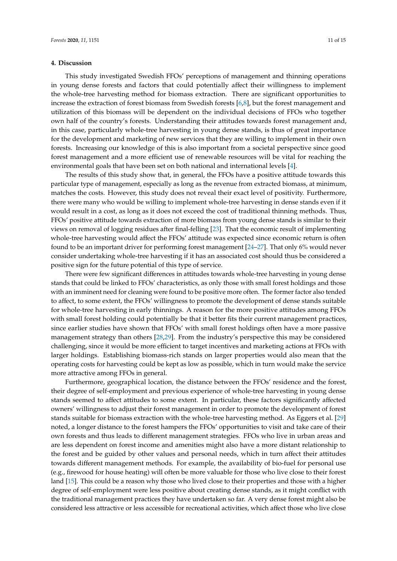#### **4. Discussion**

This study investigated Swedish FFOs' perceptions of management and thinning operations in young dense forests and factors that could potentially affect their willingness to implement the whole-tree harvesting method for biomass extraction. There are significant opportunities to increase the extraction of forest biomass from Swedish forests  $[6,8]$  $[6,8]$ , but the forest management and utilization of this biomass will be dependent on the individual decisions of FFOs who together own half of the country's forests. Understanding their attitudes towards forest management and, in this case, particularly whole-tree harvesting in young dense stands, is thus of great importance for the development and marketing of new services that they are willing to implement in their own forests. Increasing our knowledge of this is also important from a societal perspective since good forest management and a more efficient use of renewable resources will be vital for reaching the environmental goals that have been set on both national and international levels [\[4\]](#page-13-0).

The results of this study show that, in general, the FFOs have a positive attitude towards this particular type of management, especially as long as the revenue from extracted biomass, at minimum, matches the costs. However, this study does not reveal their exact level of positivity. Furthermore, there were many who would be willing to implement whole-tree harvesting in dense stands even if it would result in a cost, as long as it does not exceed the cost of traditional thinning methods. Thus, FFOs' positive attitude towards extraction of more biomass from young dense stands is similar to their views on removal of logging residues after final-felling [\[23\]](#page-13-15). That the economic result of implementing whole-tree harvesting would affect the FFOs' attitude was expected since economic return is often found to be an important driver for performing forest management [\[24–](#page-13-16)[27\]](#page-13-17). That only 6% would never consider undertaking whole-tree harvesting if it has an associated cost should thus be considered a positive sign for the future potential of this type of service.

There were few significant differences in attitudes towards whole-tree harvesting in young dense stands that could be linked to FFOs' characteristics, as only those with small forest holdings and those with an imminent need for cleaning were found to be positive more often. The former factor also tended to affect, to some extent, the FFOs' willingness to promote the development of dense stands suitable for whole-tree harvesting in early thinnings. A reason for the more positive attitudes among FFOs with small forest holding could potentially be that it better fits their current management practices, since earlier studies have shown that FFOs' with small forest holdings often have a more passive management strategy than others [\[28](#page-13-18)[,29\]](#page-13-19). From the industry's perspective this may be considered challenging, since it would be more efficient to target incentives and marketing actions at FFOs with larger holdings. Establishing biomass-rich stands on larger properties would also mean that the operating costs for harvesting could be kept as low as possible, which in turn would make the service more attractive among FFOs in general.

Furthermore, geographical location, the distance between the FFOs' residence and the forest, their degree of self-employment and previous experience of whole-tree harvesting in young dense stands seemed to affect attitudes to some extent. In particular, these factors significantly affected owners' willingness to adjust their forest management in order to promote the development of forest stands suitable for biomass extraction with the whole-tree harvesting method. As Eggers et al. [\[29\]](#page-13-19) noted, a longer distance to the forest hampers the FFOs' opportunities to visit and take care of their own forests and thus leads to different management strategies. FFOs who live in urban areas and are less dependent on forest income and amenities might also have a more distant relationship to the forest and be guided by other values and personal needs, which in turn affect their attitudes towards different management methods. For example, the availability of bio-fuel for personal use (e.g., firewood for house heating) will often be more valuable for those who live close to their forest land [\[15\]](#page-13-11). This could be a reason why those who lived close to their properties and those with a higher degree of self-employment were less positive about creating dense stands, as it might conflict with the traditional management practices they have undertaken so far. A very dense forest might also be considered less attractive or less accessible for recreational activities, which affect those who live close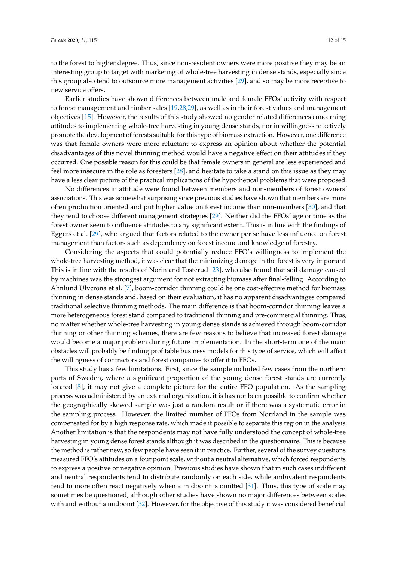to the forest to higher degree. Thus, since non-resident owners were more positive they may be an interesting group to target with marketing of whole-tree harvesting in dense stands, especially since this group also tend to outsource more management activities [\[29\]](#page-13-19), and so may be more receptive to new service offers.

Earlier studies have shown differences between male and female FFOs' activity with respect to forest management and timber sales [\[19,](#page-13-10)[28,](#page-13-18)[29\]](#page-13-19), as well as in their forest values and management objectives [\[15\]](#page-13-11). However, the results of this study showed no gender related differences concerning attitudes to implementing whole-tree harvesting in young dense stands, nor in willingness to actively promote the development of forests suitable for this type of biomass extraction. However, one difference was that female owners were more reluctant to express an opinion about whether the potential disadvantages of this novel thinning method would have a negative effect on their attitudes if they occurred. One possible reason for this could be that female owners in general are less experienced and feel more insecure in the role as foresters [\[28\]](#page-13-18), and hesitate to take a stand on this issue as they may have a less clear picture of the practical implications of the hypothetical problems that were proposed.

No differences in attitude were found between members and non-members of forest owners' associations. This was somewhat surprising since previous studies have shown that members are more often production oriented and put higher value on forest income than non-members [\[30\]](#page-14-0), and that they tend to choose different management strategies [\[29\]](#page-13-19). Neither did the FFOs' age or time as the forest owner seem to influence attitudes to any significant extent. This is in line with the findings of Eggers et al. [\[29\]](#page-13-19), who argued that factors related to the owner per se have less influence on forest management than factors such as dependency on forest income and knowledge of forestry.

Considering the aspects that could potentially reduce FFO's willingness to implement the whole-tree harvesting method, it was clear that the minimizing damage in the forest is very important. This is in line with the results of Norin and Tosterud [\[23\]](#page-13-15), who also found that soil damage caused by machines was the strongest argument for not extracting biomass after final-felling. According to Ahnlund Ulvcrona et al. [\[7\]](#page-13-3), boom-corridor thinning could be one cost-effective method for biomass thinning in dense stands and, based on their evaluation, it has no apparent disadvantages compared traditional selective thinning methods. The main difference is that boom-corridor thinning leaves a more heterogeneous forest stand compared to traditional thinning and pre-commercial thinning. Thus, no matter whether whole-tree harvesting in young dense stands is achieved through boom-corridor thinning or other thinning schemes, there are few reasons to believe that increased forest damage would become a major problem during future implementation. In the short-term one of the main obstacles will probably be finding profitable business models for this type of service, which will affect the willingness of contractors and forest companies to offer it to FFOs.

This study has a few limitations. First, since the sample included few cases from the northern parts of Sweden, where a significant proportion of the young dense forest stands are currently located [\[8\]](#page-13-4), it may not give a complete picture for the entire FFO population. As the sampling process was administered by an external organization, it is has not been possible to confirm whether the geographically skewed sample was just a random result or if there was a systematic error in the sampling process. However, the limited number of FFOs from Norrland in the sample was compensated for by a high response rate, which made it possible to separate this region in the analysis. Another limitation is that the respondents may not have fully understood the concept of whole-tree harvesting in young dense forest stands although it was described in the questionnaire. This is because the method is rather new, so few people have seen it in practice. Further, several of the survey questions measured FFO's attitudes on a four point scale, without a neutral alternative, which forced respondents to express a positive or negative opinion. Previous studies have shown that in such cases indifferent and neutral respondents tend to distribute randomly on each side, while ambivalent respondents tend to more often react negatively when a midpoint is omitted [\[31\]](#page-14-1). Thus, this type of scale may sometimes be questioned, although other studies have shown no major differences between scales with and without a midpoint [\[32\]](#page-14-2). However, for the objective of this study it was considered beneficial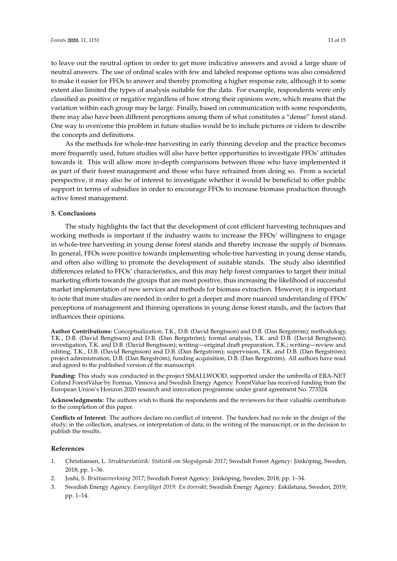to leave out the neutral option in order to get more indicative answers and avoid a large share of neutral answers. The use of ordinal scales with few and labeled response options was also considered to make it easier for FFOs to answer and thereby promoting a higher response rate, although it to some extent also limited the types of analysis suitable for the data. For example, respondents were only classified as positive or negative regardless of how strong their opinions were, which means that the variation within each group may be large. Finally, based on communication with some respondents, there may also have been different perceptions among them of what constitutes a "dense" forest stand. One way to overcome this problem in future studies would be to include pictures or videos to describe the concepts and definitions.

As the methods for whole-tree harvesting in early thinning develop and the practice becomes more frequently used, future studies will also have better opportunities to investigate FFOs' attitudes towards it. This will allow more in-depth comparisons between those who have implemented it as part of their forest management and those who have refrained from doing so. From a societal perspective, it may also be of interest to investigate whether it would be beneficial to offer public support in terms of subsidies in order to encourage FFOs to increase biomass production through active forest management.

#### **5. Conclusions**

The study highlights the fact that the development of cost efficient harvesting techniques and working methods is important if the industry wants to increase the FFOs' willingness to engage in whole-tree harvesting in young dense forest stands and thereby increase the supply of biomass. In general, FFOs were positive towards implementing whole-tree harvesting in young dense stands, and often also willing to promote the development of suitable stands. The study also identified differences related to FFOs' characteristics, and this may help forest companies to target their initial marketing efforts towards the groups that are most positive, thus increasing the likelihood of successful market implementation of new services and methods for biomass extraction. However, it is important to note that more studies are needed in order to get a deeper and more nuanced understanding of FFOs' perceptions of management and thinning operations in young dense forest stands, and the factors that influences their opinions.

**Author Contributions:** Conceptualization, T.K., D.B. (David Bengtsson) and D.B. (Dan Bergström); methodology, T.K., D.B. (David Bengtsson) and D.B. (Dan Bergström); formal analysis, T.K. and D.B. (David Bengtsson); investigation, T.K. and D.B. (David Bengtsson); writing—original draft preparation, T.K.; writing—review and editing, T.K., D.B. (David Bengtsson) and D.B. (Dan Bergström); supervision, T.K. and D.B. (Dan Bergström); project administration, D.B. (Dan Bergström); funding acquisition, D.B. (Dan Bergström). All authors have read and agreed to the published version of the manuscript.

**Funding:** This study was conducted in the project SMALLWOOD, supported under the umbrella of ERA-NET Cofund ForestValue by Formas, Vinnova and Swedish Energy Agency. ForestValue has received funding from the European Union's Horizon 2020 research and innovation programme under grant agreement No. 773324.

**Acknowledgments:** The authors wish to thank the respondents and the reviewers for their valuable contribution to the completion of this paper.

**Conflicts of Interest:** The authors declare no conflict of interest. The funders had no role in the design of the study; in the collection, analyses, or interpretation of data; in the writing of the manuscript, or in the decision to publish the results.

#### **References**

- <span id="page-12-0"></span>1. Christiansen, L. *Strukturstatistik: Statistik om Skogsägande 2017*; Swedish Forest Agency: Jönköping, Sweden, 2018; pp. 1–36.
- <span id="page-12-1"></span>2. Joshi, S. *Bruttoavverkning 2017*; Swedish Forest Agency: Jönköping, Sweden, 2018; pp. 1–34.
- <span id="page-12-2"></span>3. Swedish Energy Agency. *Energiläget 2019: En översikt*; Swedish Energy Agency: Eskilstuna, Sweden, 2019; pp. 1–14.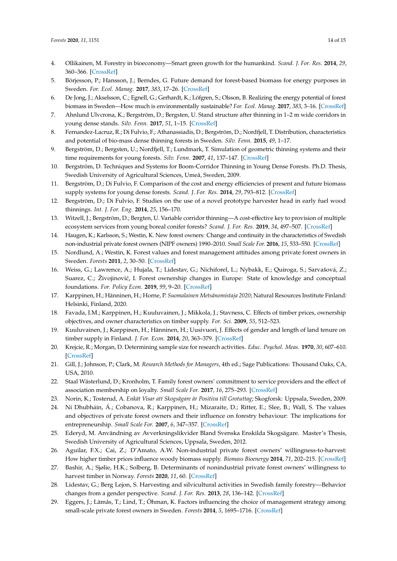- <span id="page-13-0"></span>4. Ollikainen, M. Forestry in bioeconomy—Smart green growth for the humankind. *Scand. J. For. Res.* **2014**, *29*, 360–366. [\[CrossRef\]](http://dx.doi.org/10.1080/02827581.2014.926392)
- <span id="page-13-1"></span>5. Börjesson, P.; Hansson, J.; Berndes, G. Future demand for forest-based biomass for energy purposes in Sweden. *For. Ecol. Manag.* **2017**, *383*, 17–26. [\[CrossRef\]](http://dx.doi.org/10.1016/j.foreco.2016.09.018)
- <span id="page-13-2"></span>6. De Jong, J.; Akselsson, C.; Egnell, G.; Gerhardt, K.; Löfgren, S.; Olsson, B. Realizing the energy potential of forest biomass in Sweden—How much is environmentally sustainable? *For. Ecol. Manag.* **2017**, *383*, 3–16. [\[CrossRef\]](http://dx.doi.org/10.1016/j.foreco.2016.06.028)
- <span id="page-13-3"></span>7. Ahnlund Ulvcrona, K.; Bergström, D.; Bergsten, U. Stand structure after thinning in 1–2 m wide corridors in young dense stands. *Silv. Fenn.* **2017**, *51*, 1–15. [\[CrossRef\]](http://dx.doi.org/10.14214/sf.1563)
- <span id="page-13-4"></span>8. Fernandez-Lacruz, R.; Di Fulvio, F.; Athanassiadis, D.; Bergström, D.; Nordfjell, T. Distribution, characteristics and potential of bio-mass dense thinning forests in Sweden. *Silv. Fenn.* **2015**, *49*, 1–17.
- <span id="page-13-5"></span>9. Bergström, D.; Bergsten, U.; Nordfjell, T.; Lundmark, T. Simulation of geometric thinning systems and their time requirements for young forests. *Silv. Fenn.* **2007**, *41*, 137–147. [\[CrossRef\]](http://dx.doi.org/10.14214/sf.311)
- 10. Bergström, D. Techniques and Systems for Boom-Corridor Thinning in Young Dense Forests. Ph.D. Thesis, Swedish University of Agricultural Sciences, Umeå, Sweden, 2009.
- 11. Bergström, D.; Di Fulvio, F. Comparison of the cost and energy efficiencies of present and future biomass supply systems for young dense forests. *Scand. J. For. Res.* **2014**, *29*, 793–812. [\[CrossRef\]](http://dx.doi.org/10.1080/02827581.2014.976590)
- 12. Bergström, D.; Di Fulvio, F. Studies on the use of a novel prototype harvester head in early fuel wood thinnings. *Int. J. For. Eng.* **2014**, *25*, 156–170.
- <span id="page-13-6"></span>13. Witzell, J.; Bergström, D.; Bergten, U. Variable corridor thinning—A cost-effective key to provision of multiple ecosystem services from young boreal conifer forests? *Scand. J. For. Res.* **2019**, *34*, 497–507. [\[CrossRef\]](http://dx.doi.org/10.1080/02827581.2019.1596304)
- <span id="page-13-7"></span>14. Haugen, K.; Karlsson, S.; Westin, K. New forest owners: Change and continuity in the characteristics of Swedish non-industrial private forest owners (NIPF owners) 1990–2010. *Small Scale For.* **2016**, *15*, 533–550. [\[CrossRef\]](http://dx.doi.org/10.1007/s11842-016-9338-x)
- <span id="page-13-11"></span>15. Nordlund, A.; Westin, K. Forest values and forest management attitudes among private forest owners in Sweden. *Forests* **2011**, *2*, 30–50. [\[CrossRef\]](http://dx.doi.org/10.3390/f2010030)
- 16. Weiss, G.; Lawrence, A.; Hujala, T.; Lidestav, G.; Nichiforel, L.; Nybakk, E.; Quiroga, S.; Sarvašová, Z.; Suarez, C.; Živojinović, I. Forest ownership changes in Europe: State of knowledge and conceptual foundations. *For. Policy Econ.* **2019**, *99*, 9–20. [\[CrossRef\]](http://dx.doi.org/10.1016/j.forpol.2018.03.003)
- <span id="page-13-8"></span>17. Karppinen, H.; Hänninen, H.; Horne, P. *Suomalainen Metsänomistaja 2020*; Natural Resources Institute Finland: Helsinki, Finland, 2020.
- <span id="page-13-9"></span>18. Favada, I.M.; Karppinen, H.; Kuuluvainen, J.; Mikkola, J.; Stavness, C. Effects of timber prices, ownership objectives, and owner characteristics on timber supply. *For. Sci.* **2009**, *55*, 512–523.
- <span id="page-13-10"></span>19. Kuuluvainen, J.; Karppinen, H.; Hänninen, H.; Uusivuori, J. Effects of gender and length of land tenure on timber supply in Finland. *J. For. Econ.* **2014**, *20*, 363–379. [\[CrossRef\]](http://dx.doi.org/10.1016/j.jfe.2014.10.002)
- <span id="page-13-12"></span>20. Krejcie, R.; Morgan, D. Determining sample size for research activities. *Educ. Psychol. Meas.* **1970**, *30*, 607–610. [\[CrossRef\]](http://dx.doi.org/10.1177/001316447003000308)
- <span id="page-13-13"></span>21. Gill, J.; Johnson, P.; Clark, M. *Research Methods for Managers*, 4th ed.; Sage Publications: Thousand Oaks, CA, USA, 2010.
- <span id="page-13-14"></span>22. Staal Wästerlund, D.; Kronholm, T. Family forest owners' commitment to service providers and the effect of association membership on loyalty. *Small Scale For.* **2017**, *16*, 275–293. [\[CrossRef\]](http://dx.doi.org/10.1007/s11842-016-9359-5)
- <span id="page-13-15"></span>23. Norin, K.; Tosterud, A. *Enkät Visar att Skogsägare är Positiva till Grotuttag*; Skogforsk: Uppsala, Sweden, 2009.
- <span id="page-13-16"></span>24. Ní Dhubháin, Á.; Cobanova, R.; Karppinen, H.; Mizaraite, D.; Ritter, E.; Slee, B.; Wall, S. The values and objectives of private forest owners and their influence on forestry behaviour: The implications for entrepreneurship. *Small Scale For.* **2007**, *6*, 347–357. [\[CrossRef\]](http://dx.doi.org/10.1007/s11842-007-9030-2)
- 25. Ederyd, M. Användning av Avverkningslikvider Bland Svenska Enskilda Skogsägare. Master's Thesis, Swedish University of Agricultural Sciences, Uppsala, Sweden, 2012.
- 26. Aguilar, F.X.; Cai, Z.; D'Amato, A.W. Non-industrial private forest owners' willingness-to-harvest: How higher timber prices influence woody biomass supply. *Biomass Bioenergy* **2014**, *71*, 202–215. [\[CrossRef\]](http://dx.doi.org/10.1016/j.biombioe.2014.10.006)
- <span id="page-13-17"></span>27. Bashir, A.; Sjølie, H.K.; Solberg, B. Determinants of nonindustrial private forest owners' willingness to harvest timber in Norway. *Forests* **2020**, *11*, 60. [\[CrossRef\]](http://dx.doi.org/10.3390/f11010060)
- <span id="page-13-18"></span>28. Lidestav, G.; Berg Lejon, S. Harvesting and silvicultural activities in Swedish family forestry—Behavior changes from a gender perspective. *Scand. J. For. Res.* **2013**, *28*, 136–142. [\[CrossRef\]](http://dx.doi.org/10.1080/02827581.2012.701324)
- <span id="page-13-19"></span>29. Eggers, J.; Lämås, T.; Lind, T.; Öhman, K. Factors influencing the choice of management strategy among small-scale private forest owners in Sweden. *Forests* **2014**, *5*, 1695–1716. [\[CrossRef\]](http://dx.doi.org/10.3390/f5071695)